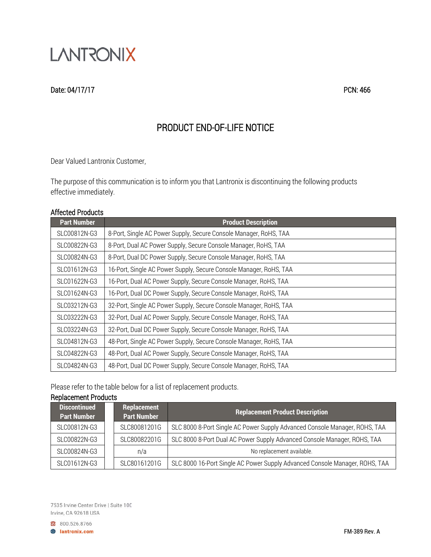

### Date: 04/17/17 PCN: 466

# PRODUCT END-OF-LIFE NOTICE

Dear Valued Lantronix Customer,

The purpose of this communication is to inform you that Lantronix is discontinuing the following products effective immediately.

#### Affected Products

| <b>Part Number</b> | <b>Product Description</b>                                         |
|--------------------|--------------------------------------------------------------------|
| SLC00812N-G3       | 8-Port, Single AC Power Supply, Secure Console Manager, RoHS, TAA  |
| SLC00822N-G3       | 8-Port, Dual AC Power Supply, Secure Console Manager, RoHS, TAA    |
| SLC00824N-G3       | 8-Port, Dual DC Power Supply, Secure Console Manager, RoHS, TAA    |
| SLC01612N-G3       | 16-Port, Single AC Power Supply, Secure Console Manager, RoHS, TAA |
| SLC01622N-G3       | 16-Port, Dual AC Power Supply, Secure Console Manager, RoHS, TAA   |
| SLC01624N-G3       | 16-Port, Dual DC Power Supply, Secure Console Manager, RoHS, TAA   |
| SLC03212N-G3       | 32-Port, Single AC Power Supply, Secure Console Manager, RoHS, TAA |
| SLC03222N-G3       | 32-Port, Dual AC Power Supply, Secure Console Manager, RoHS, TAA   |
| SLC03224N-G3       | 32-Port, Dual DC Power Supply, Secure Console Manager, RoHS, TAA   |
| SLC04812N-G3       | 48-Port, Single AC Power Supply, Secure Console Manager, RoHS, TAA |
| SLC04822N-G3       | 48-Port, Dual AC Power Supply, Secure Console Manager, RoHS, TAA   |
| SLC04824N-G3       | 48-Port, Dual DC Power Supply, Secure Console Manager, RoHS, TAA   |

Please refer to the table below for a list of replacement products.

## Replacement Products

| <b>Discontinued</b><br><b>Part Number</b> |  | Replacement<br><b>Part Number</b> | <b>Replacement Product Description</b>                                      |
|-------------------------------------------|--|-----------------------------------|-----------------------------------------------------------------------------|
| SLC00812N-G3                              |  | SLC80081201G                      | SLC 8000 8-Port Single AC Power Supply Advanced Console Manager, ROHS, TAA  |
| SLC00822N-G3                              |  | SLC80082201G                      | SLC 8000 8-Port Dual AC Power Supply Advanced Console Manager, ROHS, TAA    |
| SLC00824N-G3                              |  | n/a                               | No replacement available.                                                   |
| SLC01612N-G3                              |  | SLC80161201G                      | SLC 8000 16-Port Single AC Power Supply Advanced Console Manager, ROHS, TAA |

7535 Irvine Center Drive | Suite 100 Irvine, CA 92618 USA

800.526.8766 **B** lantronix.com

FM-389 Rev. A